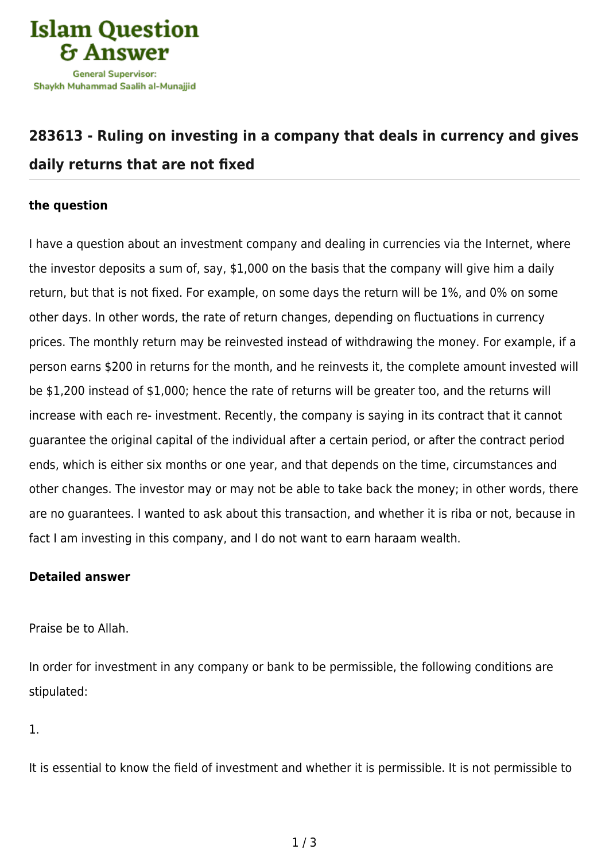

## **[283613 - Ruling on investing in a company that deals in currency and gives](https://islamqa.com/en/answers/283613/ruling-on-investing-in-a-company-that-deals-in-currency-and-gives-daily-returns-that-are-not-fixed) [daily returns that are not fixed](https://islamqa.com/en/answers/283613/ruling-on-investing-in-a-company-that-deals-in-currency-and-gives-daily-returns-that-are-not-fixed)**

## **the question**

I have a question about an investment company and dealing in currencies via the Internet, where the investor deposits a sum of, say, \$1,000 on the basis that the company will give him a daily return, but that is not fixed. For example, on some days the return will be 1%, and 0% on some other days. In other words, the rate of return changes, depending on fluctuations in currency prices. The monthly return may be reinvested instead of withdrawing the money. For example, if a person earns \$200 in returns for the month, and he reinvests it, the complete amount invested will be \$1,200 instead of \$1,000; hence the rate of returns will be greater too, and the returns will increase with each re- investment. Recently, the company is saying in its contract that it cannot guarantee the original capital of the individual after a certain period, or after the contract period ends, which is either six months or one year, and that depends on the time, circumstances and other changes. The investor may or may not be able to take back the money; in other words, there are no guarantees. I wanted to ask about this transaction, and whether it is riba or not, because in fact I am investing in this company, and I do not want to earn haraam wealth.

## **Detailed answer**

Praise be to Allah.

In order for investment in any company or bank to be permissible, the following conditions are stipulated:

1.

It is essential to know the field of investment and whether it is permissible. It is not permissible to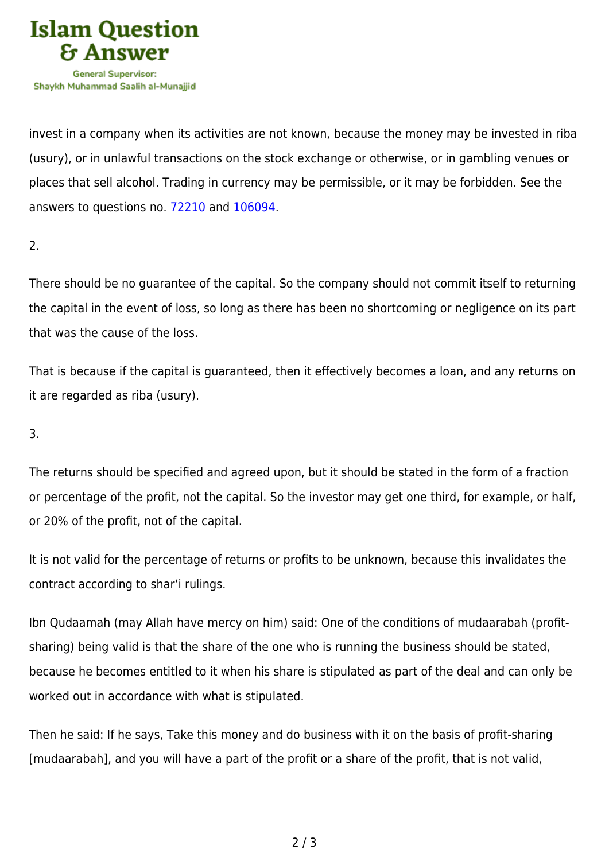

invest in a company when its activities are not known, because the money may be invested in riba (usury), or in unlawful transactions on the stock exchange or otherwise, or in gambling venues or places that sell alcohol. Trading in currency may be permissible, or it may be forbidden. See the answers to questions no. [72210](https://islamqa.com/en/answers/72210) and [106094](https://islamqa.com/en/answers/106094).

2.

There should be no guarantee of the capital. So the company should not commit itself to returning the capital in the event of loss, so long as there has been no shortcoming or negligence on its part that was the cause of the loss.

That is because if the capital is guaranteed, then it effectively becomes a loan, and any returns on it are regarded as riba (usury).

3.

The returns should be specified and agreed upon, but it should be stated in the form of a fraction or percentage of the profit, not the capital. So the investor may get one third, for example, or half, or 20% of the profit, not of the capital.

It is not valid for the percentage of returns or profits to be unknown, because this invalidates the contract according to shar'i rulings.

Ibn Qudaamah (may Allah have mercy on him) said: One of the conditions of mudaarabah (profitsharing) being valid is that the share of the one who is running the business should be stated, because he becomes entitled to it when his share is stipulated as part of the deal and can only be worked out in accordance with what is stipulated.

Then he said: If he says, Take this money and do business with it on the basis of profit-sharing [mudaarabah], and you will have a part of the profit or a share of the profit, that is not valid,